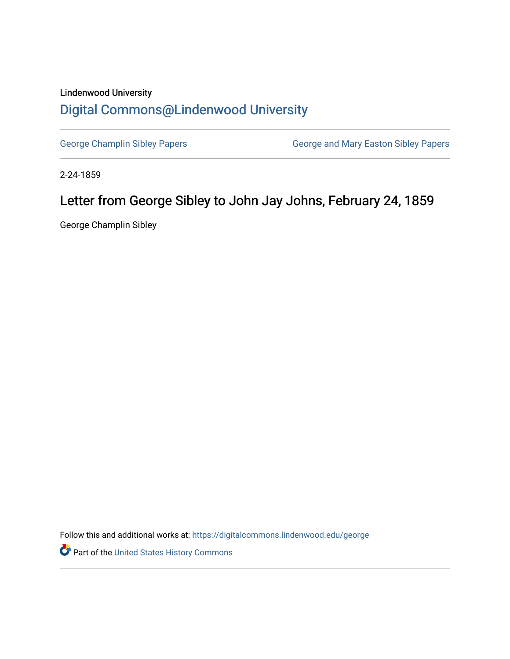## Lindenwood University [Digital Commons@Lindenwood University](https://digitalcommons.lindenwood.edu/)

[George Champlin Sibley Papers](https://digitalcommons.lindenwood.edu/george) **George and Mary Easton Sibley Papers** George and Mary Easton Sibley Papers

2-24-1859

## Letter from George Sibley to John Jay Johns, February 24, 1859

George Champlin Sibley

Follow this and additional works at: [https://digitalcommons.lindenwood.edu/george](https://digitalcommons.lindenwood.edu/george?utm_source=digitalcommons.lindenwood.edu%2Fgeorge%2F156&utm_medium=PDF&utm_campaign=PDFCoverPages)

Part of the [United States History Commons](http://network.bepress.com/hgg/discipline/495?utm_source=digitalcommons.lindenwood.edu%2Fgeorge%2F156&utm_medium=PDF&utm_campaign=PDFCoverPages)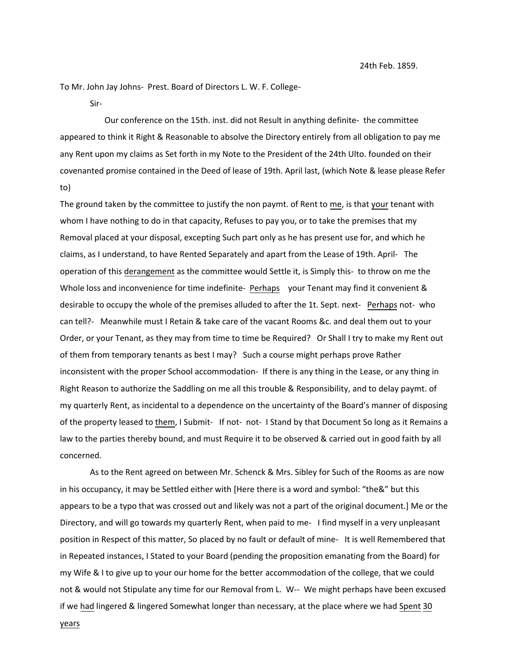To Mr. John Jay Johns- Prest. Board of Directors L. W. F. College-

Sir-

 Our conference on the 15th. inst. did not Result in anything definite- the committee appeared to think it Right & Reasonable to absolve the Directory entirely from all obligation to pay me any Rent upon my claims as Set forth in my Note to the President of the 24th Ulto. founded on their covenanted promise contained in the Deed of lease of 19th. April last, (which Note & lease please Refer to)

The ground taken by the committee to justify the non paymt. of Rent to me, is that your tenant with whom I have nothing to do in that capacity, Refuses to pay you, or to take the premises that my Removal placed at your disposal, excepting Such part only as he has present use for, and which he claims, as I understand, to have Rented Separately and apart from the Lease of 19th. April- The operation of this derangement as the committee would Settle it, is Simply this- to throw on me the Whole loss and inconvenience for time indefinite- Perhaps your Tenant may find it convenient & desirable to occupy the whole of the premises alluded to after the 1t. Sept. next- Perhaps not- who can tell?- Meanwhile must I Retain & take care of the vacant Rooms &c. and deal them out to your Order, or your Tenant, as they may from time to time be Required? Or Shall I try to make my Rent out of them from temporary tenants as best I may? Such a course might perhaps prove Rather inconsistent with the proper School accommodation- If there is any thing in the Lease, or any thing in Right Reason to authorize the Saddling on me all this trouble & Responsibility, and to delay paymt. of my quarterly Rent, as incidental to a dependence on the uncertainty of the Board's manner of disposing of the property leased to them, I Submit- If not- not- I Stand by that Document So long as it Remains a law to the parties thereby bound, and must Require it to be observed & carried out in good faith by all concerned.

As to the Rent agreed on between Mr. Schenck & Mrs. Sibley for Such of the Rooms as are now in his occupancy, it may be Settled either with [Here there is a word and symbol: "the&" but this appears to be a typo that was crossed out and likely was not a part of the original document.] Me or the Directory, and will go towards my quarterly Rent, when paid to me- I find myself in a very unpleasant position in Respect of this matter, So placed by no fault or default of mine- It is well Remembered that in Repeated instances, I Stated to your Board (pending the proposition emanating from the Board) for my Wife & I to give up to your our home for the better accommodation of the college, that we could not & would not Stipulate any time for our Removal from L. W-- We might perhaps have been excused if we had lingered & lingered Somewhat longer than necessary, at the place where we had Spent 30

years